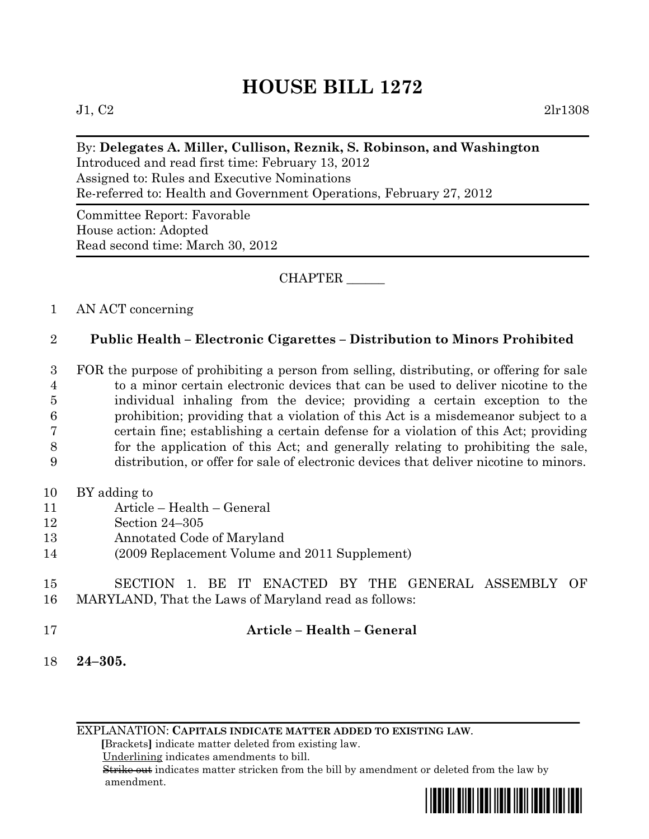# **HOUSE BILL 1272**

 $J1, C2$  2lr1308

### By: **Delegates A. Miller, Cullison, Reznik, S. Robinson, and Washington**

Introduced and read first time: February 13, 2012 Assigned to: Rules and Executive Nominations Re-referred to: Health and Government Operations, February 27, 2012

Committee Report: Favorable House action: Adopted Read second time: March 30, 2012

#### CHAPTER \_\_\_\_\_\_

#### 1 AN ACT concerning

## 2 **Public Health – Electronic Cigarettes – Distribution to Minors Prohibited**

 FOR the purpose of prohibiting a person from selling, distributing, or offering for sale to a minor certain electronic devices that can be used to deliver nicotine to the individual inhaling from the device; providing a certain exception to the prohibition; providing that a violation of this Act is a misdemeanor subject to a certain fine; establishing a certain defense for a violation of this Act; providing for the application of this Act; and generally relating to prohibiting the sale, distribution, or offer for sale of electronic devices that deliver nicotine to minors.

- 10 BY adding to
- 11 Article Health General
- 12 Section 24–305
- 13 Annotated Code of Maryland
- 14 (2009 Replacement Volume and 2011 Supplement)

#### 15 SECTION 1. BE IT ENACTED BY THE GENERAL ASSEMBLY OF 16 MARYLAND, That the Laws of Maryland read as follows:

#### 17 **Article – Health – General**

18 **24–305.** 

EXPLANATION: **CAPITALS INDICATE MATTER ADDED TO EXISTING LAW**.

 **[**Brackets**]** indicate matter deleted from existing law.

Underlining indicates amendments to bill.

 Strike out indicates matter stricken from the bill by amendment or deleted from the law by amendment.